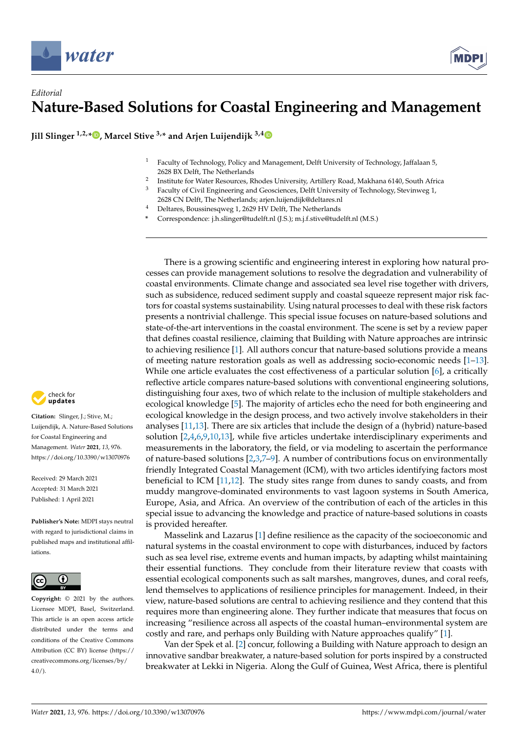

## *Editorial* **Nature-Based Solutions for Coastal Engineering and Management**

**Jill Slinger 1,2,\* [,](https://orcid.org/0000-0001-5257-8857) Marcel Stive 3,\* and Arjen Luijendijk 3,[4](https://orcid.org/0000-0003-0292-2351)**

- <sup>1</sup> Faculty of Technology, Policy and Management, Delft University of Technology, Jaffalaan 5, 2628 BX Delft, The Netherlands
- 2 Institute for Water Resources, Rhodes University, Artillery Road, Makhana 6140, South Africa
- <sup>3</sup> Faculty of Civil Engineering and Geosciences, Delft University of Technology, Stevinweg 1,
- 2628 CN Delft, The Netherlands; arjen.luijendijk@deltares.nl
- <sup>4</sup> Deltares, Boussinesqweg 1, 2629 HV Delft, The Netherlands
- **\*** Correspondence: j.h.slinger@tudelft.nl (J.S.); m.j.f.stive@tudelft.nl (M.S.)

There is a growing scientific and engineering interest in exploring how natural processes can provide management solutions to resolve the degradation and vulnerability of coastal environments. Climate change and associated sea level rise together with drivers, such as subsidence, reduced sediment supply and coastal squeeze represent major risk factors for coastal systems sustainability. Using natural processes to deal with these risk factors presents a nontrivial challenge. This special issue focuses on nature-based solutions and state-of-the-art interventions in the coastal environment. The scene is set by a review paper that defines coastal resilience, claiming that Building with Nature approaches are intrinsic to achieving resilience [\[1\]](#page-4-0). All authors concur that nature-based solutions provide a means of meeting nature restoration goals as well as addressing socio-economic needs [\[1](#page-4-0)[–13\]](#page-4-1). While one article evaluates the cost effectiveness of a particular solution [\[6\]](#page-4-2), a critically reflective article compares nature-based solutions with conventional engineering solutions, distinguishing four axes, two of which relate to the inclusion of multiple stakeholders and ecological knowledge [\[5\]](#page-4-3). The majority of articles echo the need for both engineering and ecological knowledge in the design process, and two actively involve stakeholders in their analyses [\[11](#page-4-4)[,13\]](#page-4-1). There are six articles that include the design of a (hybrid) nature-based solution [\[2,](#page-4-5)[4,](#page-4-6)[6,](#page-4-2)[9,](#page-4-7)[10,](#page-4-8)[13\]](#page-4-1), while five articles undertake interdisciplinary experiments and measurements in the laboratory, the field, or via modeling to ascertain the performance of nature-based solutions  $[2,3,7-9]$  $[2,3,7-9]$  $[2,3,7-9]$  $[2,3,7-9]$ . A number of contributions focus on environmentally friendly Integrated Coastal Management (ICM), with two articles identifying factors most beneficial to ICM [\[11,](#page-4-4)[12\]](#page-4-11). The study sites range from dunes to sandy coasts, and from muddy mangrove-dominated environments to vast lagoon systems in South America, Europe, Asia, and Africa. An overview of the contribution of each of the articles in this special issue to advancing the knowledge and practice of nature-based solutions in coasts is provided hereafter.

Masselink and Lazarus [\[1\]](#page-4-0) define resilience as the capacity of the socioeconomic and natural systems in the coastal environment to cope with disturbances, induced by factors such as sea level rise, extreme events and human impacts, by adapting whilst maintaining their essential functions. They conclude from their literature review that coasts with essential ecological components such as salt marshes, mangroves, dunes, and coral reefs, lend themselves to applications of resilience principles for management. Indeed, in their view, nature-based solutions are central to achieving resilience and they contend that this requires more than engineering alone. They further indicate that measures that focus on increasing "resilience across all aspects of the coastal human–environmental system are costly and rare, and perhaps only Building with Nature approaches qualify" [\[1\]](#page-4-0).

Van der Spek et al. [\[2\]](#page-4-5) concur, following a Building with Nature approach to design an innovative sandbar breakwater, a nature-based solution for ports inspired by a constructed breakwater at Lekki in Nigeria. Along the Gulf of Guinea, West Africa, there is plentiful



**Citation:** Slinger, J.; Stive, M.; Luijendijk, A. Nature-Based Solutions for Coastal Engineering and Management. *Water* **2021**, *13*, 976. <https://doi.org/10.3390/w13070976>

Received: 29 March 2021 Accepted: 31 March 2021 Published: 1 April 2021

**Publisher's Note:** MDPI stays neutral with regard to jurisdictional claims in published maps and institutional affiliations.



**Copyright:** © 2021 by the authors. Licensee MDPI, Basel, Switzerland. This article is an open access article distributed under the terms and conditions of the Creative Commons Attribution (CC BY) license (https:/[/](https://creativecommons.org/licenses/by/4.0/) [creativecommons.org/licenses/by/](https://creativecommons.org/licenses/by/4.0/)  $4.0/$ ).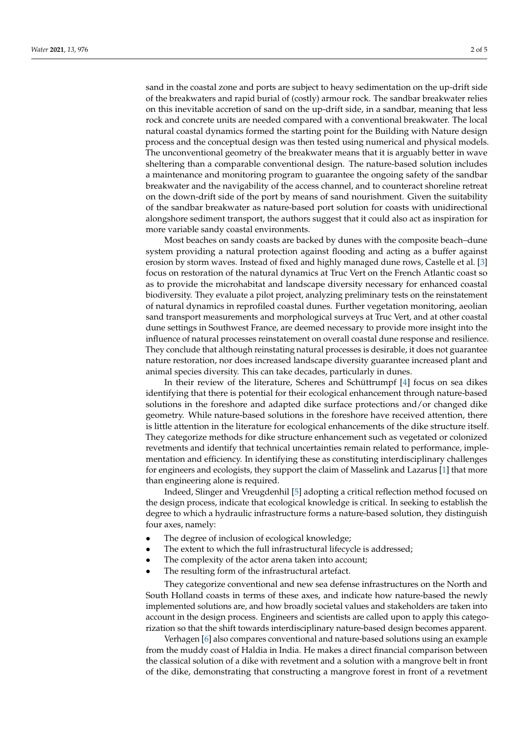sand in the coastal zone and ports are subject to heavy sedimentation on the up-drift side of the breakwaters and rapid burial of (costly) armour rock. The sandbar breakwater relies on this inevitable accretion of sand on the up-drift side, in a sandbar, meaning that less rock and concrete units are needed compared with a conventional breakwater. The local natural coastal dynamics formed the starting point for the Building with Nature design process and the conceptual design was then tested using numerical and physical models. The unconventional geometry of the breakwater means that it is arguably better in wave sheltering than a comparable conventional design. The nature-based solution includes a maintenance and monitoring program to guarantee the ongoing safety of the sandbar breakwater and the navigability of the access channel, and to counteract shoreline retreat on the down-drift side of the port by means of sand nourishment. Given the suitability of the sandbar breakwater as nature-based port solution for coasts with unidirectional alongshore sediment transport, the authors suggest that it could also act as inspiration for more variable sandy coastal environments.

Most beaches on sandy coasts are backed by dunes with the composite beach–dune system providing a natural protection against flooding and acting as a buffer against erosion by storm waves. Instead of fixed and highly managed dune rows, Castelle et al. [\[3\]](#page-4-9) focus on restoration of the natural dynamics at Truc Vert on the French Atlantic coast so as to provide the microhabitat and landscape diversity necessary for enhanced coastal biodiversity. They evaluate a pilot project, analyzing preliminary tests on the reinstatement of natural dynamics in reprofiled coastal dunes. Further vegetation monitoring, aeolian sand transport measurements and morphological surveys at Truc Vert, and at other coastal dune settings in Southwest France, are deemed necessary to provide more insight into the influence of natural processes reinstatement on overall coastal dune response and resilience. They conclude that although reinstating natural processes is desirable, it does not guarantee nature restoration, nor does increased landscape diversity guarantee increased plant and animal species diversity. This can take decades, particularly in dunes.

In their review of the literature, Scheres and Schüttrumpf [\[4\]](#page-4-6) focus on sea dikes identifying that there is potential for their ecological enhancement through nature-based solutions in the foreshore and adapted dike surface protections and/or changed dike geometry. While nature-based solutions in the foreshore have received attention, there is little attention in the literature for ecological enhancements of the dike structure itself. They categorize methods for dike structure enhancement such as vegetated or colonized revetments and identify that technical uncertainties remain related to performance, implementation and efficiency. In identifying these as constituting interdisciplinary challenges for engineers and ecologists, they support the claim of Masselink and Lazarus [\[1\]](#page-4-0) that more than engineering alone is required.

Indeed, Slinger and Vreugdenhil [\[5\]](#page-4-3) adopting a critical reflection method focused on the design process, indicate that ecological knowledge is critical. In seeking to establish the degree to which a hydraulic infrastructure forms a nature-based solution, they distinguish four axes, namely:

- The degree of inclusion of ecological knowledge;
- The extent to which the full infrastructural lifecycle is addressed;
- The complexity of the actor arena taken into account;
- The resulting form of the infrastructural artefact.

They categorize conventional and new sea defense infrastructures on the North and South Holland coasts in terms of these axes, and indicate how nature-based the newly implemented solutions are, and how broadly societal values and stakeholders are taken into account in the design process. Engineers and scientists are called upon to apply this categorization so that the shift towards interdisciplinary nature-based design becomes apparent.

Verhagen [\[6\]](#page-4-2) also compares conventional and nature-based solutions using an example from the muddy coast of Haldia in India. He makes a direct financial comparison between the classical solution of a dike with revetment and a solution with a mangrove belt in front of the dike, demonstrating that constructing a mangrove forest in front of a revetment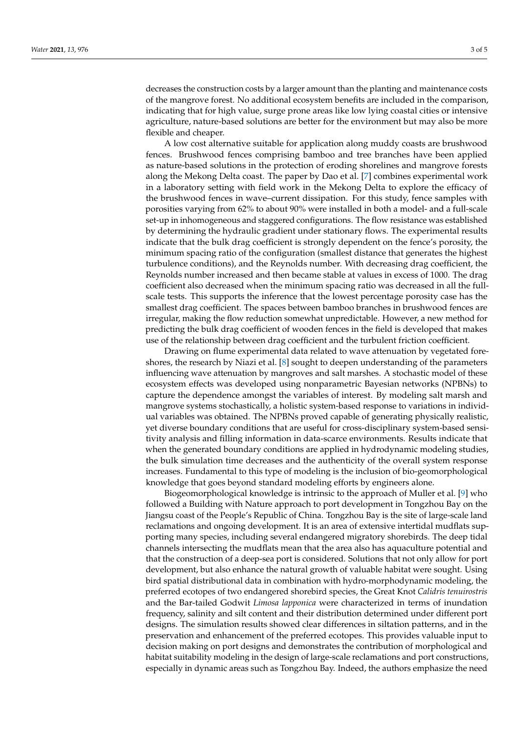decreases the construction costs by a larger amount than the planting and maintenance costs of the mangrove forest. No additional ecosystem benefits are included in the comparison, indicating that for high value, surge prone areas like low lying coastal cities or intensive agriculture, nature-based solutions are better for the environment but may also be more flexible and cheaper.

A low cost alternative suitable for application along muddy coasts are brushwood fences. Brushwood fences comprising bamboo and tree branches have been applied as nature-based solutions in the protection of eroding shorelines and mangrove forests along the Mekong Delta coast. The paper by Dao et al. [\[7\]](#page-4-10) combines experimental work in a laboratory setting with field work in the Mekong Delta to explore the efficacy of the brushwood fences in wave–current dissipation. For this study, fence samples with porosities varying from 62% to about 90% were installed in both a model- and a full-scale set-up in inhomogeneous and staggered configurations. The flow resistance was established by determining the hydraulic gradient under stationary flows. The experimental results indicate that the bulk drag coefficient is strongly dependent on the fence's porosity, the minimum spacing ratio of the configuration (smallest distance that generates the highest turbulence conditions), and the Reynolds number. With decreasing drag coefficient, the Reynolds number increased and then became stable at values in excess of 1000. The drag coefficient also decreased when the minimum spacing ratio was decreased in all the fullscale tests. This supports the inference that the lowest percentage porosity case has the smallest drag coefficient. The spaces between bamboo branches in brushwood fences are irregular, making the flow reduction somewhat unpredictable. However, a new method for predicting the bulk drag coefficient of wooden fences in the field is developed that makes use of the relationship between drag coefficient and the turbulent friction coefficient.

Drawing on flume experimental data related to wave attenuation by vegetated foreshores, the research by Niazi et al. [\[8\]](#page-4-12) sought to deepen understanding of the parameters influencing wave attenuation by mangroves and salt marshes. A stochastic model of these ecosystem effects was developed using nonparametric Bayesian networks (NPBNs) to capture the dependence amongst the variables of interest. By modeling salt marsh and mangrove systems stochastically, a holistic system-based response to variations in individual variables was obtained. The NPBNs proved capable of generating physically realistic, yet diverse boundary conditions that are useful for cross-disciplinary system-based sensitivity analysis and filling information in data-scarce environments. Results indicate that when the generated boundary conditions are applied in hydrodynamic modeling studies, the bulk simulation time decreases and the authenticity of the overall system response increases. Fundamental to this type of modeling is the inclusion of bio-geomorphological knowledge that goes beyond standard modeling efforts by engineers alone.

Biogeomorphological knowledge is intrinsic to the approach of Muller et al. [\[9\]](#page-4-7) who followed a Building with Nature approach to port development in Tongzhou Bay on the Jiangsu coast of the People's Republic of China. Tongzhou Bay is the site of large-scale land reclamations and ongoing development. It is an area of extensive intertidal mudflats supporting many species, including several endangered migratory shorebirds. The deep tidal channels intersecting the mudflats mean that the area also has aquaculture potential and that the construction of a deep-sea port is considered. Solutions that not only allow for port development, but also enhance the natural growth of valuable habitat were sought. Using bird spatial distributional data in combination with hydro-morphodynamic modeling, the preferred ecotopes of two endangered shorebird species, the Great Knot *Calidris tenuirostris* and the Bar-tailed Godwit *Limosa lapponica* were characterized in terms of inundation frequency, salinity and silt content and their distribution determined under different port designs. The simulation results showed clear differences in siltation patterns, and in the preservation and enhancement of the preferred ecotopes. This provides valuable input to decision making on port designs and demonstrates the contribution of morphological and habitat suitability modeling in the design of large-scale reclamations and port constructions, especially in dynamic areas such as Tongzhou Bay. Indeed, the authors emphasize the need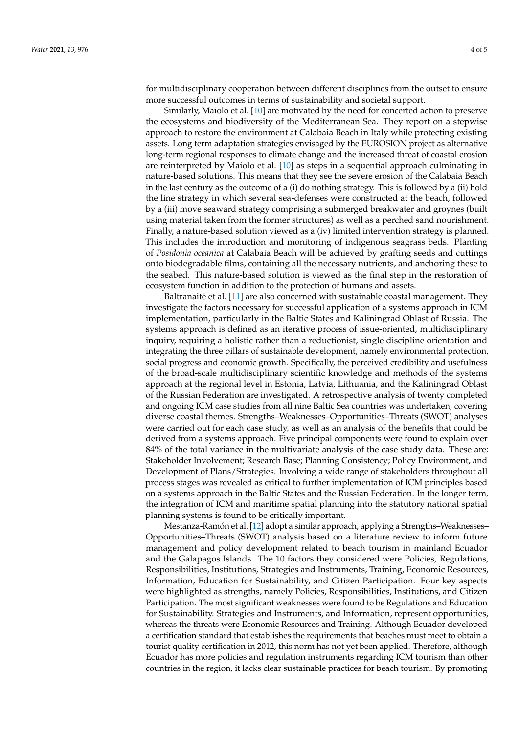for multidisciplinary cooperation between different disciplines from the outset to ensure more successful outcomes in terms of sustainability and societal support.

Similarly, Maiolo et al. [\[10\]](#page-4-8) are motivated by the need for concerted action to preserve the ecosystems and biodiversity of the Mediterranean Sea. They report on a stepwise approach to restore the environment at Calabaia Beach in Italy while protecting existing assets. Long term adaptation strategies envisaged by the EUROSION project as alternative long-term regional responses to climate change and the increased threat of coastal erosion are reinterpreted by Maiolo et al. [\[10\]](#page-4-8) as steps in a sequential approach culminating in nature-based solutions. This means that they see the severe erosion of the Calabaia Beach in the last century as the outcome of a (i) do nothing strategy. This is followed by a (ii) hold the line strategy in which several sea-defenses were constructed at the beach, followed by a (iii) move seaward strategy comprising a submerged breakwater and groynes (built using material taken from the former structures) as well as a perched sand nourishment. Finally, a nature-based solution viewed as a (iv) limited intervention strategy is planned. This includes the introduction and monitoring of indigenous seagrass beds. Planting of *Posidonia oceanica* at Calabaia Beach will be achieved by grafting seeds and cuttings onto biodegradable films, containing all the necessary nutrients, and anchoring these to the seabed. This nature-based solution is viewed as the final step in the restoration of ecosystem function in addition to the protection of humans and assets.

Baltranaite et al. [[11\]](#page-4-4) are also concerned with sustainable coastal management. They investigate the factors necessary for successful application of a systems approach in ICM implementation, particularly in the Baltic States and Kaliningrad Oblast of Russia. The systems approach is defined as an iterative process of issue-oriented, multidisciplinary inquiry, requiring a holistic rather than a reductionist, single discipline orientation and integrating the three pillars of sustainable development, namely environmental protection, social progress and economic growth. Specifically, the perceived credibility and usefulness of the broad-scale multidisciplinary scientific knowledge and methods of the systems approach at the regional level in Estonia, Latvia, Lithuania, and the Kaliningrad Oblast of the Russian Federation are investigated. A retrospective analysis of twenty completed and ongoing ICM case studies from all nine Baltic Sea countries was undertaken, covering diverse coastal themes. Strengths–Weaknesses–Opportunities–Threats (SWOT) analyses were carried out for each case study, as well as an analysis of the benefits that could be derived from a systems approach. Five principal components were found to explain over 84% of the total variance in the multivariate analysis of the case study data. These are: Stakeholder Involvement; Research Base; Planning Consistency; Policy Environment, and Development of Plans/Strategies. Involving a wide range of stakeholders throughout all process stages was revealed as critical to further implementation of ICM principles based on a systems approach in the Baltic States and the Russian Federation. In the longer term, the integration of ICM and maritime spatial planning into the statutory national spatial planning systems is found to be critically important.

Mestanza-Ramón et al. [\[12\]](#page-4-11) adopt a similar approach, applying a Strengths–Weaknesses– Opportunities–Threats (SWOT) analysis based on a literature review to inform future management and policy development related to beach tourism in mainland Ecuador and the Galapagos Islands. The 10 factors they considered were Policies, Regulations, Responsibilities, Institutions, Strategies and Instruments, Training, Economic Resources, Information, Education for Sustainability, and Citizen Participation. Four key aspects were highlighted as strengths, namely Policies, Responsibilities, Institutions, and Citizen Participation. The most significant weaknesses were found to be Regulations and Education for Sustainability. Strategies and Instruments, and Information, represent opportunities, whereas the threats were Economic Resources and Training. Although Ecuador developed a certification standard that establishes the requirements that beaches must meet to obtain a tourist quality certification in 2012, this norm has not yet been applied. Therefore, although Ecuador has more policies and regulation instruments regarding ICM tourism than other countries in the region, it lacks clear sustainable practices for beach tourism. By promoting